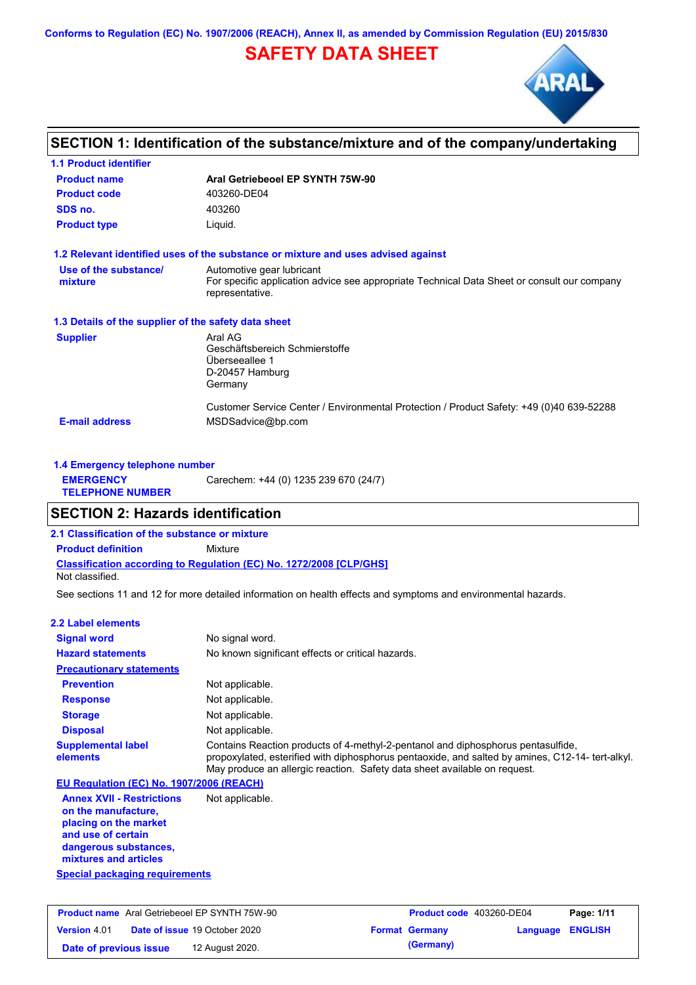**Conforms to Regulation (EC) No. 1907/2006 (REACH), Annex II, as amended by Commission Regulation (EU) 2015/830**

# **SAFETY DATA SHEET**



# **SECTION 1: Identification of the substance/mixture and of the company/undertaking**

| <b>1.1 Product identifier</b>                        |                                                                                                                                             |
|------------------------------------------------------|---------------------------------------------------------------------------------------------------------------------------------------------|
| <b>Product name</b>                                  | Aral Getriebeoel EP SYNTH 75W-90                                                                                                            |
| <b>Product code</b>                                  | 403260-DE04                                                                                                                                 |
| SDS no.                                              | 403260                                                                                                                                      |
| <b>Product type</b>                                  | Liquid.                                                                                                                                     |
|                                                      | 1.2 Relevant identified uses of the substance or mixture and uses advised against                                                           |
| Use of the substance/<br>mixture                     | Automotive gear lubricant<br>For specific application advice see appropriate Technical Data Sheet or consult our company<br>representative. |
| 1.3 Details of the supplier of the safety data sheet |                                                                                                                                             |
| <b>Supplier</b>                                      | Aral AG<br>Geschäftsbereich Schmierstoffe<br>Überseeallee 1<br>D-20457 Hamburg<br>Germany                                                   |
| <b>E-mail address</b>                                | Customer Service Center / Environmental Protection / Product Safety: +49 (0)40 639-52288<br>MSDSadvice@bp.com                               |

| 1.4 Emergency telephone number              |                                       |  |  |
|---------------------------------------------|---------------------------------------|--|--|
| <b>EMERGENCY</b><br><b>TELEPHONE NUMBER</b> | Carechem: +44 (0) 1235 239 670 (24/7) |  |  |

## **SECTION 2: Hazards identification**

**2.1 Classification of the substance or mixture**

**Classification according to Regulation (EC) No. 1272/2008 [CLP/GHS] Product definition** Mixture

Not classified.

See sections 11 and 12 for more detailed information on health effects and symptoms and environmental hazards.

### **2.2 Label elements**

| <b>Signal word</b>                                                                                                                                       | No signal word.                                                                                                                                                                                                                                                  |
|----------------------------------------------------------------------------------------------------------------------------------------------------------|------------------------------------------------------------------------------------------------------------------------------------------------------------------------------------------------------------------------------------------------------------------|
| <b>Hazard statements</b>                                                                                                                                 | No known significant effects or critical hazards.                                                                                                                                                                                                                |
| <b>Precautionary statements</b>                                                                                                                          |                                                                                                                                                                                                                                                                  |
| <b>Prevention</b>                                                                                                                                        | Not applicable.                                                                                                                                                                                                                                                  |
| <b>Response</b>                                                                                                                                          | Not applicable.                                                                                                                                                                                                                                                  |
| <b>Storage</b>                                                                                                                                           | Not applicable.                                                                                                                                                                                                                                                  |
| <b>Disposal</b>                                                                                                                                          | Not applicable.                                                                                                                                                                                                                                                  |
| <b>Supplemental label</b><br>elements                                                                                                                    | Contains Reaction products of 4-methyl-2-pentanol and diphosphorus pentasulfide,<br>propoxylated, esterified with diphosphorus pentaoxide, and salted by amines, C12-14-tert-alkyl.<br>May produce an allergic reaction. Safety data sheet available on request. |
| EU Regulation (EC) No. 1907/2006 (REACH)                                                                                                                 |                                                                                                                                                                                                                                                                  |
| <b>Annex XVII - Restrictions</b><br>on the manufacture,<br>placing on the market<br>and use of certain<br>dangerous substances,<br>mixtures and articles | Not applicable.                                                                                                                                                                                                                                                  |

**Special packaging requirements**

|                        | <b>Product name</b> Aral Getriebeoel EP SYNTH 75W-90 | <b>Product code</b> 403260-DE04 |                  | Page: 1/11 |
|------------------------|------------------------------------------------------|---------------------------------|------------------|------------|
| <b>Version 4.01</b>    | <b>Date of issue 19 October 2020</b>                 | <b>Format Germany</b>           | Language ENGLISH |            |
| Date of previous issue | 12 August 2020.                                      | (Germany)                       |                  |            |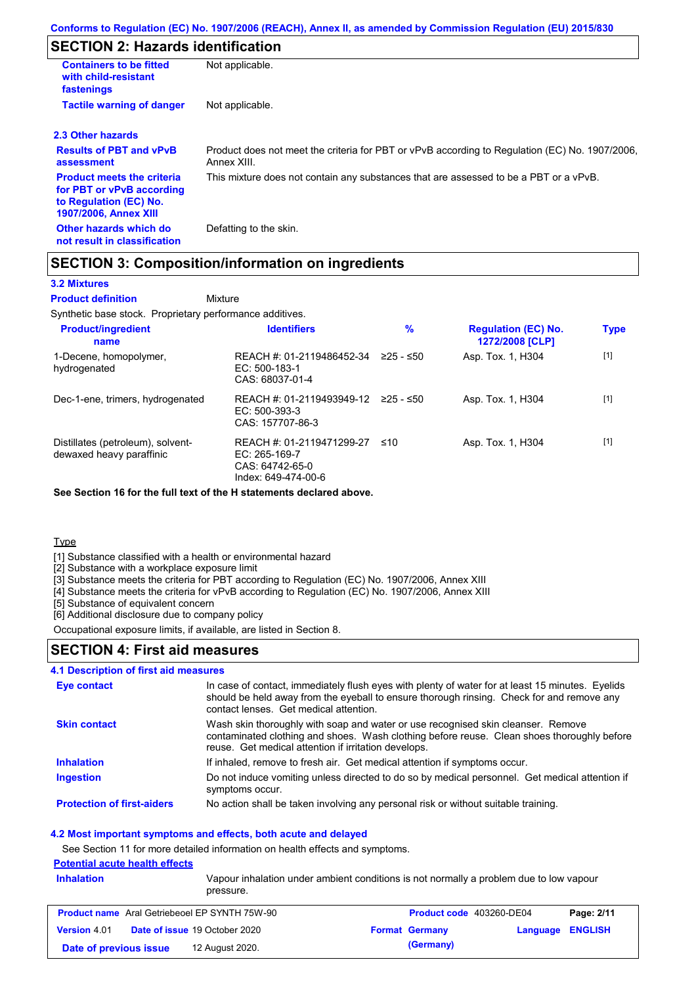# **SECTION 2: Hazards identification**

| <b>Containers to be fitted</b><br>with child-resistant<br>fastenings                                                     | Not applicable.                                                                                               |
|--------------------------------------------------------------------------------------------------------------------------|---------------------------------------------------------------------------------------------------------------|
| <b>Tactile warning of danger</b>                                                                                         | Not applicable.                                                                                               |
| 2.3 Other hazards                                                                                                        |                                                                                                               |
| <b>Results of PBT and vPvB</b><br>assessment                                                                             | Product does not meet the criteria for PBT or vPvB according to Regulation (EC) No. 1907/2006,<br>Annex XIII. |
| <b>Product meets the criteria</b><br>for PBT or vPvB according<br>to Regulation (EC) No.<br><b>1907/2006, Annex XIII</b> | This mixture does not contain any substances that are assessed to be a PBT or a vPvB.                         |
| Other hazards which do<br>not result in classification                                                                   | Defatting to the skin.                                                                                        |

## **SECTION 3: Composition/information on ingredients**

### **3.2 Mixtures**

Mixture **Product definition**

Synthetic base stock. Proprietary performance additives.

| <b>Product/ingredient</b><br>name                             | <b>Identifiers</b>                                                                   | $\%$      | <b>Regulation (EC) No.</b><br>1272/2008 [CLP] | <b>Type</b> |
|---------------------------------------------------------------|--------------------------------------------------------------------------------------|-----------|-----------------------------------------------|-------------|
| 1-Decene, homopolymer,<br>hydrogenated                        | REACH #: 01-2119486452-34<br>$EC: 500-183-1$<br>CAS: 68037-01-4                      | 225 - ≤50 | Asp. Tox. 1, H304                             | $[1]$       |
| Dec-1-ene, trimers, hydrogenated                              | REACH #: 01-2119493949-12<br>$EC: 500-393-3$<br>CAS: 157707-86-3                     | 225 - ≤50 | Asp. Tox. 1, H304                             | $[1]$       |
| Distillates (petroleum), solvent-<br>dewaxed heavy paraffinic | REACH #: 01-2119471299-27<br>EC: 265-169-7<br>CAS: 64742-65-0<br>Index: 649-474-00-6 | ≤10       | Asp. Tox. 1, H304                             | $[1]$       |

**See Section 16 for the full text of the H statements declared above.**

**Type** 

[1] Substance classified with a health or environmental hazard

[2] Substance with a workplace exposure limit

[3] Substance meets the criteria for PBT according to Regulation (EC) No. 1907/2006, Annex XIII

[4] Substance meets the criteria for vPvB according to Regulation (EC) No. 1907/2006, Annex XIII

[5] Substance of equivalent concern

[6] Additional disclosure due to company policy

Occupational exposure limits, if available, are listed in Section 8.

## **SECTION 4: First aid measures**

### **4.1 Description of first aid measures**

| Eye contact                       | In case of contact, immediately flush eyes with plenty of water for at least 15 minutes. Eyelids<br>should be held away from the eyeball to ensure thorough rinsing. Check for and remove any<br>contact lenses. Get medical attention. |
|-----------------------------------|-----------------------------------------------------------------------------------------------------------------------------------------------------------------------------------------------------------------------------------------|
| <b>Skin contact</b>               | Wash skin thoroughly with soap and water or use recognised skin cleanser. Remove<br>contaminated clothing and shoes. Wash clothing before reuse. Clean shoes thoroughly before<br>reuse. Get medical attention if irritation develops.  |
| <b>Inhalation</b>                 | If inhaled, remove to fresh air. Get medical attention if symptoms occur.                                                                                                                                                               |
| <b>Ingestion</b>                  | Do not induce vomiting unless directed to do so by medical personnel. Get medical attention if<br>symptoms occur.                                                                                                                       |
| <b>Protection of first-aiders</b> | No action shall be taken involving any personal risk or without suitable training.                                                                                                                                                      |

### **4.2 Most important symptoms and effects, both acute and delayed**

See Section 11 for more detailed information on health effects and symptoms.

### **Potential acute health effects**

| <b>Inhalation</b><br>Vapour inhalation under ambient conditions is not normally a problem due to low vapour<br>pressure. |  |
|--------------------------------------------------------------------------------------------------------------------------|--|
|                                                                                                                          |  |

|                        | <b>Product name</b> Aral Getriebeoel EP SYNTH 75W-90 | <b>Product code</b> 403260-DE04 |                  | Page: 2/11 |
|------------------------|------------------------------------------------------|---------------------------------|------------------|------------|
| <b>Version 4.01</b>    | <b>Date of issue 19 October 2020</b>                 | <b>Format Germany</b>           | Language ENGLISH |            |
| Date of previous issue | 12 August 2020.                                      | (Germany)                       |                  |            |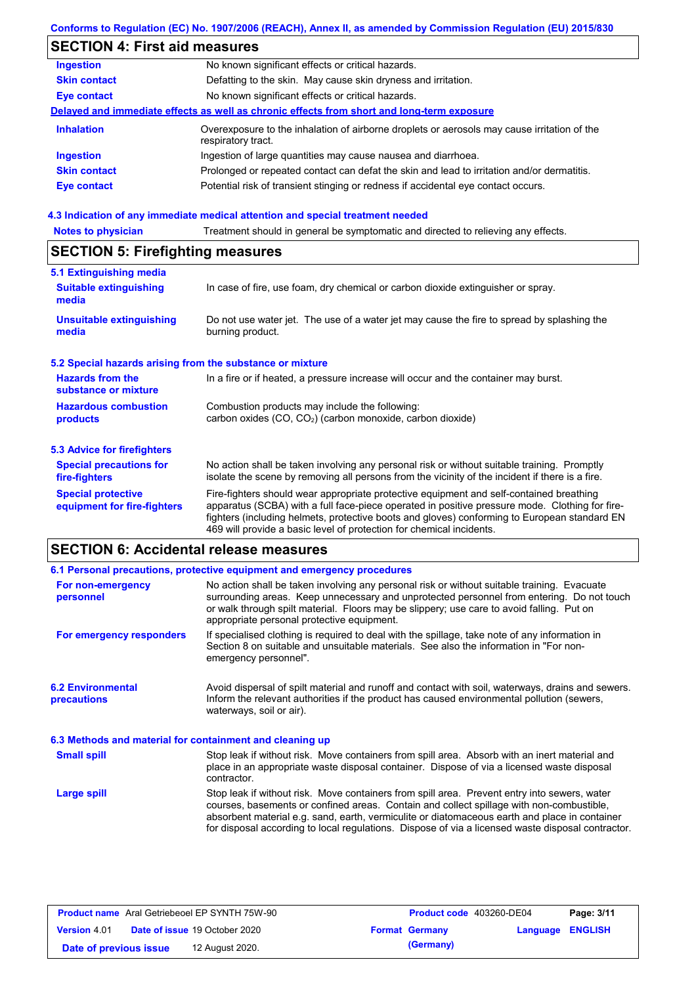### **Conforms to Regulation (EC) No. 1907/2006 (REACH), Annex II, as amended by Commission Regulation (EU) 2015/830**

# **SECTION 4: First aid measures**

| <b>Ingestion</b>    | No known significant effects or critical hazards.                                                                 |
|---------------------|-------------------------------------------------------------------------------------------------------------------|
| <b>Skin contact</b> | Defatting to the skin. May cause skin dryness and irritation.                                                     |
| <b>Eye contact</b>  | No known significant effects or critical hazards.                                                                 |
|                     | Delayed and immediate effects as well as chronic effects from short and long-term exposure                        |
| <b>Inhalation</b>   | Overexposure to the inhalation of airborne droplets or aerosols may cause irritation of the<br>respiratory tract. |
| <b>Ingestion</b>    | Ingestion of large quantities may cause nausea and diarrhoea.                                                     |
| <b>Skin contact</b> | Prolonged or repeated contact can defat the skin and lead to irritation and/or dermatitis.                        |
| <b>Eye contact</b>  | Potential risk of transient stinging or redness if accidental eye contact occurs.                                 |
|                     |                                                                                                                   |

# **4.3 Indication of any immediate medical attention and special treatment needed<br>Notes to physician** Treatment should in general be symptomatic and directed to relieving

| <b>Notes to physician</b>                                                                                                                                           | Treatment should in general be symptomatic and directed to relieving any effects.                                                                                                                                                                                                                                                                                 |  |  |  |
|---------------------------------------------------------------------------------------------------------------------------------------------------------------------|-------------------------------------------------------------------------------------------------------------------------------------------------------------------------------------------------------------------------------------------------------------------------------------------------------------------------------------------------------------------|--|--|--|
| <b>SECTION 5: Firefighting measures</b>                                                                                                                             |                                                                                                                                                                                                                                                                                                                                                                   |  |  |  |
| 5.1 Extinguishing media                                                                                                                                             |                                                                                                                                                                                                                                                                                                                                                                   |  |  |  |
| <b>Suitable extinguishing</b><br>In case of fire, use foam, dry chemical or carbon dioxide extinguisher or spray.<br>media                                          |                                                                                                                                                                                                                                                                                                                                                                   |  |  |  |
| <b>Unsuitable extinguishing</b><br>media                                                                                                                            | Do not use water jet. The use of a water jet may cause the fire to spread by splashing the<br>burning product.                                                                                                                                                                                                                                                    |  |  |  |
| 5.2 Special hazards arising from the substance or mixture                                                                                                           |                                                                                                                                                                                                                                                                                                                                                                   |  |  |  |
| <b>Hazards from the</b><br>substance or mixture                                                                                                                     | In a fire or if heated, a pressure increase will occur and the container may burst.                                                                                                                                                                                                                                                                               |  |  |  |
| <b>Hazardous combustion</b><br>Combustion products may include the following:<br>carbon oxides (CO, CO <sub>2</sub> ) (carbon monoxide, carbon dioxide)<br>products |                                                                                                                                                                                                                                                                                                                                                                   |  |  |  |
| 5.3 Advice for firefighters                                                                                                                                         |                                                                                                                                                                                                                                                                                                                                                                   |  |  |  |
| <b>Special precautions for</b><br>fire-fighters                                                                                                                     | No action shall be taken involving any personal risk or without suitable training. Promptly<br>isolate the scene by removing all persons from the vicinity of the incident if there is a fire.                                                                                                                                                                    |  |  |  |
| <b>Special protective</b><br>equipment for fire-fighters                                                                                                            | Fire-fighters should wear appropriate protective equipment and self-contained breathing<br>apparatus (SCBA) with a full face-piece operated in positive pressure mode. Clothing for fire-<br>fighters (including helmets, protective boots and gloves) conforming to European standard EN<br>469 will provide a basic level of protection for chemical incidents. |  |  |  |

# **SECTION 6: Accidental release measures**

|                                                          | 6.1 Personal precautions, protective equipment and emergency procedures                                                                                                                                                                                                                                                                                                                        |  |  |  |
|----------------------------------------------------------|------------------------------------------------------------------------------------------------------------------------------------------------------------------------------------------------------------------------------------------------------------------------------------------------------------------------------------------------------------------------------------------------|--|--|--|
| For non-emergency<br>personnel                           | No action shall be taken involving any personal risk or without suitable training. Evacuate<br>surrounding areas. Keep unnecessary and unprotected personnel from entering. Do not touch<br>or walk through spilt material. Floors may be slippery; use care to avoid falling. Put on<br>appropriate personal protective equipment.                                                            |  |  |  |
| For emergency responders                                 | If specialised clothing is required to deal with the spillage, take note of any information in<br>Section 8 on suitable and unsuitable materials. See also the information in "For non-<br>emergency personnel".                                                                                                                                                                               |  |  |  |
| <b>6.2 Environmental</b><br><b>precautions</b>           | Avoid dispersal of spilt material and runoff and contact with soil, waterways, drains and sewers.<br>Inform the relevant authorities if the product has caused environmental pollution (sewers,<br>waterways, soil or air).                                                                                                                                                                    |  |  |  |
| 6.3 Methods and material for containment and cleaning up |                                                                                                                                                                                                                                                                                                                                                                                                |  |  |  |
| <b>Small spill</b>                                       | Stop leak if without risk. Move containers from spill area. Absorb with an inert material and<br>place in an appropriate waste disposal container. Dispose of via a licensed waste disposal<br>contractor.                                                                                                                                                                                     |  |  |  |
| <b>Large spill</b>                                       | Stop leak if without risk. Move containers from spill area. Prevent entry into sewers, water<br>courses, basements or confined areas. Contain and collect spillage with non-combustible,<br>absorbent material e.g. sand, earth, vermiculite or diatomaceous earth and place in container<br>for disposal according to local regulations. Dispose of via a licensed waste disposal contractor. |  |  |  |

| <b>Product name</b> Aral Getriebeoel EP SYNTH 75W-90 |  | Product code 403260-DE04             |  | Page: 3/11            |                         |  |
|------------------------------------------------------|--|--------------------------------------|--|-----------------------|-------------------------|--|
| <b>Version 4.01</b>                                  |  | <b>Date of issue 19 October 2020</b> |  | <b>Format Germany</b> | <b>Language ENGLISH</b> |  |
| Date of previous issue                               |  | 12 August 2020.                      |  | (Germany)             |                         |  |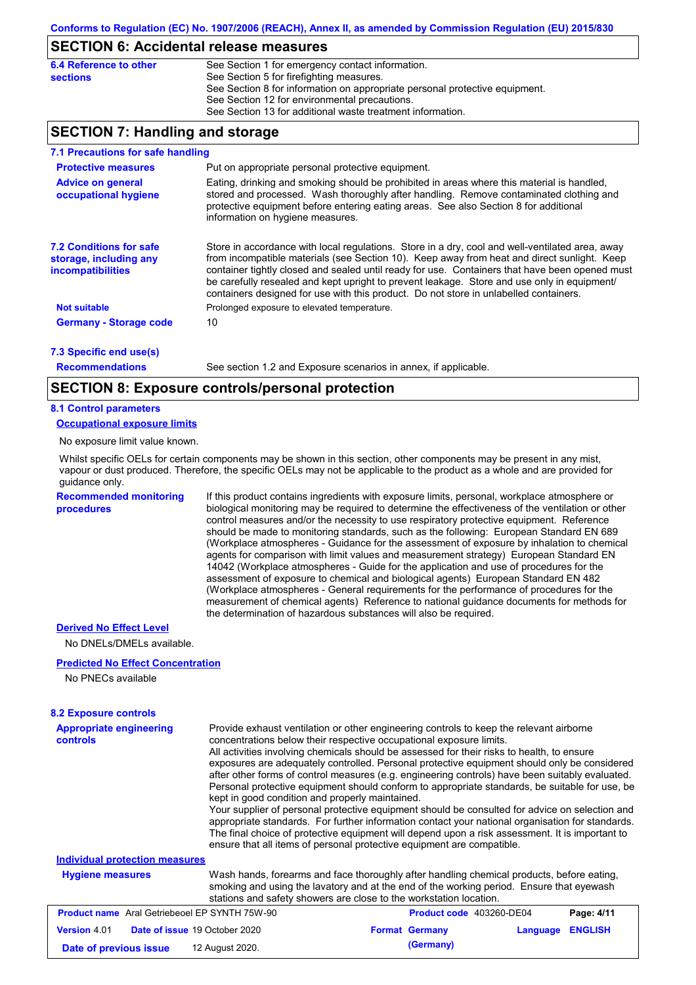### **SECTION 6: Accidental release measures**

| 6.4 Reference to other<br><b>sections</b> | See Section 1 for emergency contact information.<br>See Section 5 for firefighting measures. |
|-------------------------------------------|----------------------------------------------------------------------------------------------|
|                                           | See Section 8 for information on appropriate personal protective equipment.                  |
|                                           | See Section 12 for environmental precautions.                                                |
|                                           | See Section 13 for additional waste treatment information.                                   |

## **SECTION 7: Handling and storage**

| 7.1 Precautions for safe handling                                             |                                                                                                                                                                                                                                                                                                                                                                                                                                                                                          |
|-------------------------------------------------------------------------------|------------------------------------------------------------------------------------------------------------------------------------------------------------------------------------------------------------------------------------------------------------------------------------------------------------------------------------------------------------------------------------------------------------------------------------------------------------------------------------------|
| <b>Protective measures</b>                                                    | Put on appropriate personal protective equipment.                                                                                                                                                                                                                                                                                                                                                                                                                                        |
| <b>Advice on general</b><br>occupational hygiene                              | Eating, drinking and smoking should be prohibited in areas where this material is handled.<br>stored and processed. Wash thoroughly after handling. Remove contaminated clothing and<br>protective equipment before entering eating areas. See also Section 8 for additional<br>information on hygiene measures.                                                                                                                                                                         |
| <b>7.2 Conditions for safe</b><br>storage, including any<br>incompatibilities | Store in accordance with local requiations. Store in a dry, cool and well-ventilated area, away<br>from incompatible materials (see Section 10). Keep away from heat and direct sunlight. Keep<br>container tightly closed and sealed until ready for use. Containers that have been opened must<br>be carefully resealed and kept upright to prevent leakage. Store and use only in equipment/<br>containers designed for use with this product. Do not store in unlabelled containers. |
| <b>Not suitable</b>                                                           | Prolonged exposure to elevated temperature.                                                                                                                                                                                                                                                                                                                                                                                                                                              |
| <b>Germany - Storage code</b>                                                 | 10                                                                                                                                                                                                                                                                                                                                                                                                                                                                                       |
| 7.3 Specific end use(s)                                                       |                                                                                                                                                                                                                                                                                                                                                                                                                                                                                          |

**Recommendations**

See section 1.2 and Exposure scenarios in annex, if applicable.

### **SECTION 8: Exposure controls/personal protection**

### **8.1 Control parameters**

**Occupational exposure limits**

No exposure limit value known.

Whilst specific OELs for certain components may be shown in this section, other components may be present in any mist, vapour or dust produced. Therefore, the specific OELs may not be applicable to the product as a whole and are provided for guidance only.

**Recommended monitoring procedures**

If this product contains ingredients with exposure limits, personal, workplace atmosphere or biological monitoring may be required to determine the effectiveness of the ventilation or other control measures and/or the necessity to use respiratory protective equipment. Reference should be made to monitoring standards, such as the following: European Standard EN 689 (Workplace atmospheres - Guidance for the assessment of exposure by inhalation to chemical agents for comparison with limit values and measurement strategy) European Standard EN 14042 (Workplace atmospheres - Guide for the application and use of procedures for the assessment of exposure to chemical and biological agents) European Standard EN 482 (Workplace atmospheres - General requirements for the performance of procedures for the measurement of chemical agents) Reference to national guidance documents for methods for the determination of hazardous substances will also be required.

#### **Derived No Effect Level**

No DNELs/DMELs available.

#### **Predicted No Effect Concentration**

No PNECs available

### **8.2 Exposure controls**

| <b>Appropriate engineering</b><br>concentrations below their respective occupational exposure limits.<br><b>controls</b><br>kept in good condition and properly maintained.<br>ensure that all items of personal protective equipment are compatible. |                                                                                                                                                                                                                                                             |                       | Provide exhaust ventilation or other engineering controls to keep the relevant airborne<br>All activities involving chemicals should be assessed for their risks to health, to ensure<br>exposures are adequately controlled. Personal protective equipment should only be considered<br>after other forms of control measures (e.g. engineering controls) have been suitably evaluated.<br>Personal protective equipment should conform to appropriate standards, be suitable for use, be<br>Your supplier of personal protective equipment should be consulted for advice on selection and<br>appropriate standards. For further information contact your national organisation for standards.<br>The final choice of protective equipment will depend upon a risk assessment. It is important to |                |  |
|-------------------------------------------------------------------------------------------------------------------------------------------------------------------------------------------------------------------------------------------------------|-------------------------------------------------------------------------------------------------------------------------------------------------------------------------------------------------------------------------------------------------------------|-----------------------|-----------------------------------------------------------------------------------------------------------------------------------------------------------------------------------------------------------------------------------------------------------------------------------------------------------------------------------------------------------------------------------------------------------------------------------------------------------------------------------------------------------------------------------------------------------------------------------------------------------------------------------------------------------------------------------------------------------------------------------------------------------------------------------------------------|----------------|--|
| <b>Individual protection measures</b>                                                                                                                                                                                                                 |                                                                                                                                                                                                                                                             |                       |                                                                                                                                                                                                                                                                                                                                                                                                                                                                                                                                                                                                                                                                                                                                                                                                     |                |  |
| <b>Hygiene measures</b>                                                                                                                                                                                                                               | Wash hands, forearms and face thoroughly after handling chemical products, before eating,<br>smoking and using the lavatory and at the end of the working period. Ensure that eyewash<br>stations and safety showers are close to the workstation location. |                       |                                                                                                                                                                                                                                                                                                                                                                                                                                                                                                                                                                                                                                                                                                                                                                                                     |                |  |
| <b>Product name</b> Aral Getriebeoel EP SYNTH 75W-90                                                                                                                                                                                                  |                                                                                                                                                                                                                                                             |                       | Product code 403260-DE04                                                                                                                                                                                                                                                                                                                                                                                                                                                                                                                                                                                                                                                                                                                                                                            | Page: 4/11     |  |
| <b>Version 4.01</b><br>Date of issue 19 October 2020                                                                                                                                                                                                  |                                                                                                                                                                                                                                                             | <b>Format Germany</b> | Language                                                                                                                                                                                                                                                                                                                                                                                                                                                                                                                                                                                                                                                                                                                                                                                            | <b>ENGLISH</b> |  |
| Date of previous issue                                                                                                                                                                                                                                | 12 August 2020.                                                                                                                                                                                                                                             | (Germany)             |                                                                                                                                                                                                                                                                                                                                                                                                                                                                                                                                                                                                                                                                                                                                                                                                     |                |  |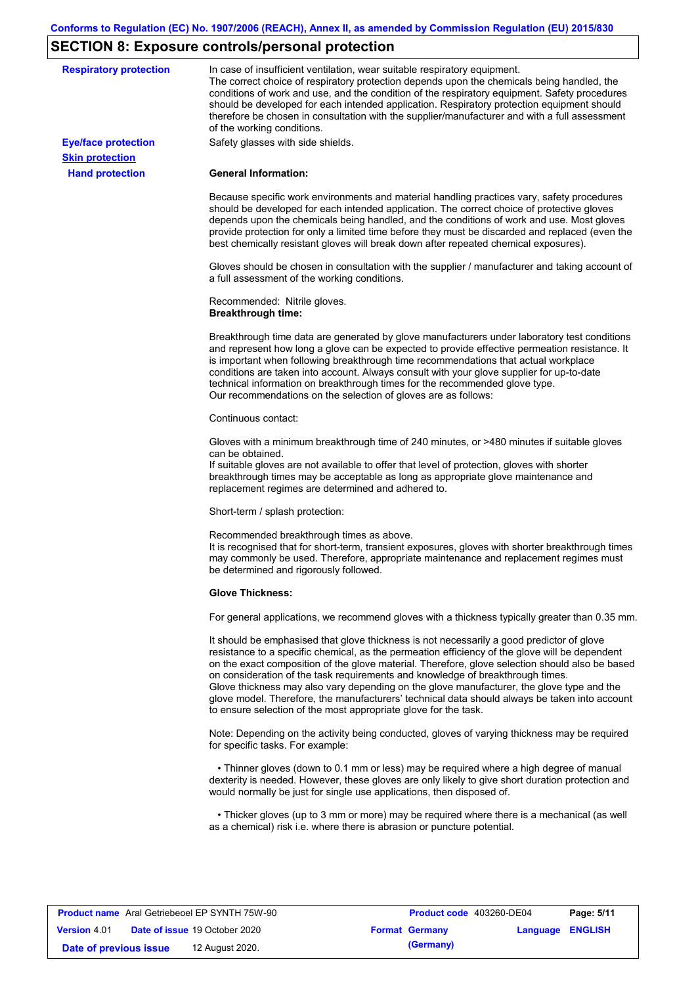# **SECTION 8: Exposure controls/personal protection**

| <b>Respiratory protection</b> | In case of insufficient ventilation, wear suitable respiratory equipment.<br>The correct choice of respiratory protection depends upon the chemicals being handled, the<br>conditions of work and use, and the condition of the respiratory equipment. Safety procedures<br>should be developed for each intended application. Respiratory protection equipment should<br>therefore be chosen in consultation with the supplier/manufacturer and with a full assessment<br>of the working conditions.                                                                                                                                             |
|-------------------------------|---------------------------------------------------------------------------------------------------------------------------------------------------------------------------------------------------------------------------------------------------------------------------------------------------------------------------------------------------------------------------------------------------------------------------------------------------------------------------------------------------------------------------------------------------------------------------------------------------------------------------------------------------|
| <b>Eye/face protection</b>    | Safety glasses with side shields.                                                                                                                                                                                                                                                                                                                                                                                                                                                                                                                                                                                                                 |
| <b>Skin protection</b>        |                                                                                                                                                                                                                                                                                                                                                                                                                                                                                                                                                                                                                                                   |
| <b>Hand protection</b>        | <b>General Information:</b>                                                                                                                                                                                                                                                                                                                                                                                                                                                                                                                                                                                                                       |
|                               |                                                                                                                                                                                                                                                                                                                                                                                                                                                                                                                                                                                                                                                   |
|                               | Because specific work environments and material handling practices vary, safety procedures<br>should be developed for each intended application. The correct choice of protective gloves<br>depends upon the chemicals being handled, and the conditions of work and use. Most gloves<br>provide protection for only a limited time before they must be discarded and replaced (even the<br>best chemically resistant gloves will break down after repeated chemical exposures).                                                                                                                                                                  |
|                               | Gloves should be chosen in consultation with the supplier / manufacturer and taking account of<br>a full assessment of the working conditions.                                                                                                                                                                                                                                                                                                                                                                                                                                                                                                    |
|                               | Recommended: Nitrile gloves.<br><b>Breakthrough time:</b>                                                                                                                                                                                                                                                                                                                                                                                                                                                                                                                                                                                         |
|                               | Breakthrough time data are generated by glove manufacturers under laboratory test conditions<br>and represent how long a glove can be expected to provide effective permeation resistance. It<br>is important when following breakthrough time recommendations that actual workplace<br>conditions are taken into account. Always consult with your glove supplier for up-to-date<br>technical information on breakthrough times for the recommended glove type.<br>Our recommendations on the selection of gloves are as follows:                                                                                                                |
|                               | Continuous contact:                                                                                                                                                                                                                                                                                                                                                                                                                                                                                                                                                                                                                               |
|                               | Gloves with a minimum breakthrough time of 240 minutes, or >480 minutes if suitable gloves<br>can be obtained.<br>If suitable gloves are not available to offer that level of protection, gloves with shorter<br>breakthrough times may be acceptable as long as appropriate glove maintenance and<br>replacement regimes are determined and adhered to.                                                                                                                                                                                                                                                                                          |
|                               | Short-term / splash protection:                                                                                                                                                                                                                                                                                                                                                                                                                                                                                                                                                                                                                   |
|                               | Recommended breakthrough times as above.<br>It is recognised that for short-term, transient exposures, gloves with shorter breakthrough times<br>may commonly be used. Therefore, appropriate maintenance and replacement regimes must<br>be determined and rigorously followed.                                                                                                                                                                                                                                                                                                                                                                  |
|                               | <b>Glove Thickness:</b>                                                                                                                                                                                                                                                                                                                                                                                                                                                                                                                                                                                                                           |
|                               | For general applications, we recommend gloves with a thickness typically greater than 0.35 mm.                                                                                                                                                                                                                                                                                                                                                                                                                                                                                                                                                    |
|                               | It should be emphasised that glove thickness is not necessarily a good predictor of glove<br>resistance to a specific chemical, as the permeation efficiency of the glove will be dependent<br>on the exact composition of the glove material. Therefore, glove selection should also be based<br>on consideration of the task requirements and knowledge of breakthrough times.<br>Glove thickness may also vary depending on the glove manufacturer, the glove type and the<br>glove model. Therefore, the manufacturers' technical data should always be taken into account<br>to ensure selection of the most appropriate glove for the task. |
|                               | Note: Depending on the activity being conducted, gloves of varying thickness may be required<br>for specific tasks. For example:                                                                                                                                                                                                                                                                                                                                                                                                                                                                                                                  |
|                               | • Thinner gloves (down to 0.1 mm or less) may be required where a high degree of manual<br>dexterity is needed. However, these gloves are only likely to give short duration protection and<br>would normally be just for single use applications, then disposed of.                                                                                                                                                                                                                                                                                                                                                                              |
|                               | • Thicker gloves (up to 3 mm or more) may be required where there is a mechanical (as well                                                                                                                                                                                                                                                                                                                                                                                                                                                                                                                                                        |

| <b>Product name</b> Aral Getriebeoel EP SYNTH 75W-90 |  | <b>Product code</b> 403260-DE04      |  | Page: 5/11            |                  |  |
|------------------------------------------------------|--|--------------------------------------|--|-----------------------|------------------|--|
| <b>Version 4.01</b>                                  |  | <b>Date of issue 19 October 2020</b> |  | <b>Format Germany</b> | Language ENGLISH |  |
| Date of previous issue                               |  | 12 August 2020.                      |  | (Germany)             |                  |  |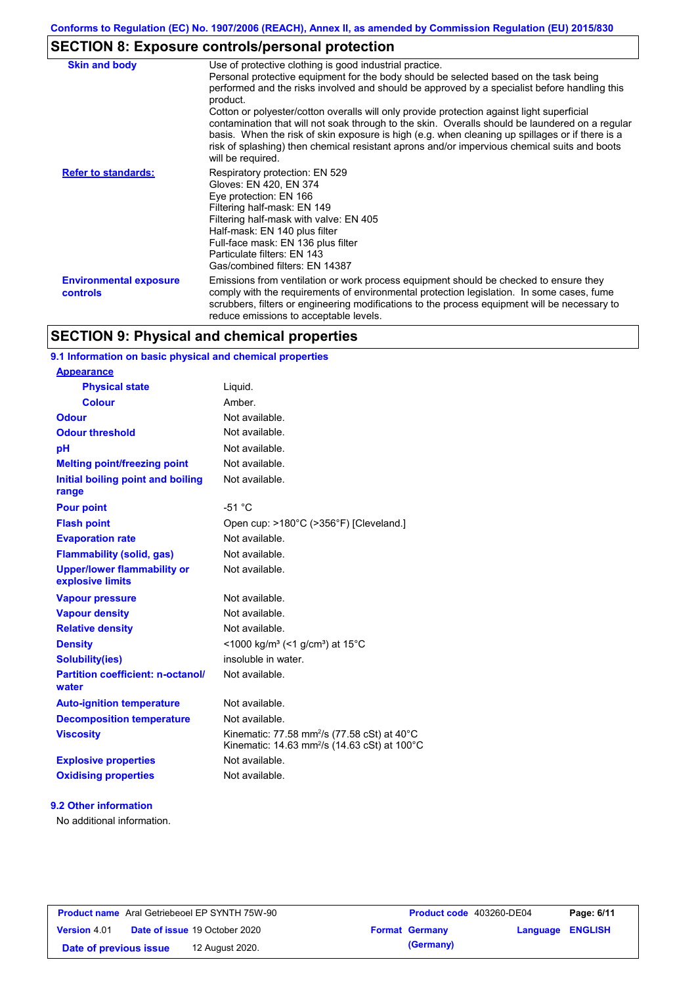# **SECTION 8: Exposure controls/personal protection**

| <b>Skin and body</b>                             | Use of protective clothing is good industrial practice.<br>Personal protective equipment for the body should be selected based on the task being<br>performed and the risks involved and should be approved by a specialist before handling this<br>product.<br>Cotton or polyester/cotton overalls will only provide protection against light superficial<br>contamination that will not soak through to the skin. Overalls should be laundered on a regular<br>basis. When the risk of skin exposure is high (e.g. when cleaning up spillages or if there is a<br>risk of splashing) then chemical resistant aprons and/or impervious chemical suits and boots<br>will be required. |
|--------------------------------------------------|---------------------------------------------------------------------------------------------------------------------------------------------------------------------------------------------------------------------------------------------------------------------------------------------------------------------------------------------------------------------------------------------------------------------------------------------------------------------------------------------------------------------------------------------------------------------------------------------------------------------------------------------------------------------------------------|
| <b>Refer to standards:</b>                       | Respiratory protection: EN 529<br>Gloves: EN 420, EN 374<br>Eye protection: EN 166<br>Filtering half-mask: EN 149<br>Filtering half-mask with valve: EN 405<br>Half-mask: EN 140 plus filter<br>Full-face mask: EN 136 plus filter<br>Particulate filters: EN 143<br>Gas/combined filters: EN 14387                                                                                                                                                                                                                                                                                                                                                                                   |
| <b>Environmental exposure</b><br><b>controls</b> | Emissions from ventilation or work process equipment should be checked to ensure they<br>comply with the requirements of environmental protection legislation. In some cases, fume<br>scrubbers, filters or engineering modifications to the process equipment will be necessary to<br>reduce emissions to acceptable levels.                                                                                                                                                                                                                                                                                                                                                         |

## **SECTION 9: Physical and chemical properties**

## **9.1 Information on basic physical and chemical properties**

| <u>Appearance</u>                                      |                                                                                                                                |
|--------------------------------------------------------|--------------------------------------------------------------------------------------------------------------------------------|
| <b>Physical state</b>                                  | Liquid.                                                                                                                        |
| <b>Colour</b>                                          | Amber.                                                                                                                         |
| Odour                                                  | Not available.                                                                                                                 |
| <b>Odour threshold</b>                                 | Not available.                                                                                                                 |
| pH                                                     | Not available.                                                                                                                 |
| <b>Melting point/freezing point</b>                    | Not available.                                                                                                                 |
| Initial boiling point and boiling<br>range             | Not available.                                                                                                                 |
| <b>Pour point</b>                                      | $-51 °C$                                                                                                                       |
| <b>Flash point</b>                                     | Open cup: >180°C (>356°F) [Cleveland.]                                                                                         |
| <b>Evaporation rate</b>                                | Not available.                                                                                                                 |
| <b>Flammability (solid, gas)</b>                       | Not available.                                                                                                                 |
| <b>Upper/lower flammability or</b><br>explosive limits | Not available.                                                                                                                 |
| <b>Vapour pressure</b>                                 | Not available.                                                                                                                 |
| <b>Vapour density</b>                                  | Not available.                                                                                                                 |
| <b>Relative density</b>                                | Not available.                                                                                                                 |
| <b>Density</b>                                         | <1000 kg/m <sup>3</sup> (<1 g/cm <sup>3</sup> ) at 15 <sup>°</sup> C                                                           |
| <b>Solubility(ies)</b>                                 | insoluble in water.                                                                                                            |
| <b>Partition coefficient: n-octanol/</b><br>water      | Not available.                                                                                                                 |
| <b>Auto-ignition temperature</b>                       | Not available.                                                                                                                 |
| <b>Decomposition temperature</b>                       | Not available.                                                                                                                 |
| <b>Viscosity</b>                                       | Kinematic: 77.58 mm <sup>2</sup> /s (77.58 cSt) at 40 $^{\circ}$ C<br>Kinematic: 14.63 mm <sup>2</sup> /s (14.63 cSt) at 100°C |
| <b>Explosive properties</b>                            | Not available.                                                                                                                 |
| <b>Oxidising properties</b>                            | Not available.                                                                                                                 |
|                                                        |                                                                                                                                |

### **9.2 Other information**

**Appearance**

No additional information.

| <b>Product name</b> Aral Getriebeoel EP SYNTH 75W-90 |                                      | <b>Product code</b>   |  |
|------------------------------------------------------|--------------------------------------|-----------------------|--|
| <b>Version 4.01</b>                                  | <b>Date of issue 19 October 2020</b> | <b>Format Germany</b> |  |
| Date of previous issue                               | 12 August 2020.                      | (Germany)             |  |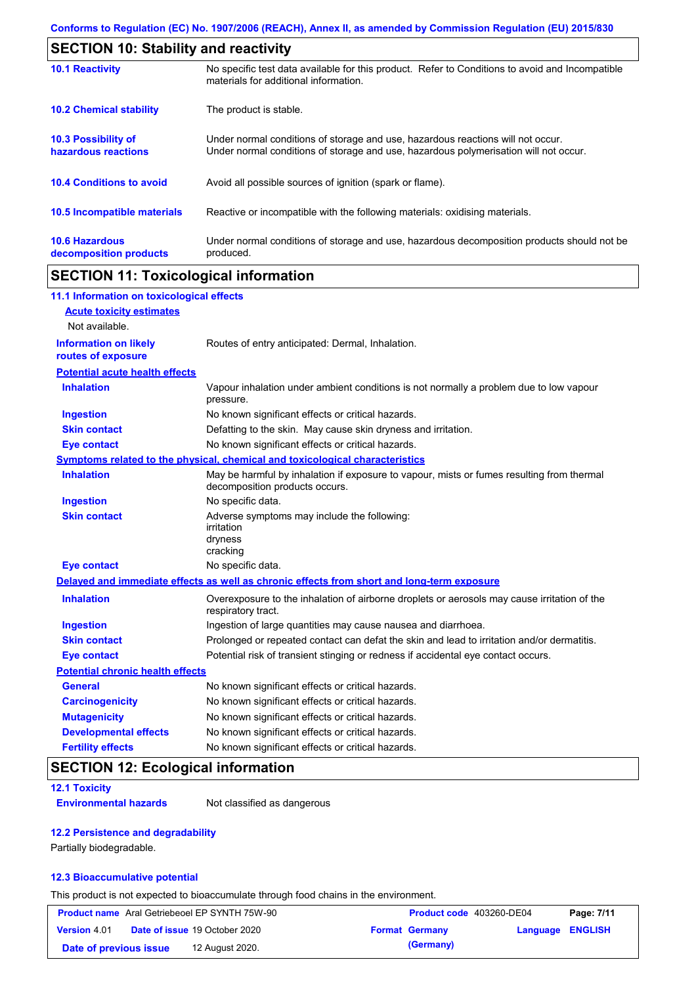|                                                   | <b>SECTION 10: Stability and reactivity</b>                                                                                                                             |  |  |
|---------------------------------------------------|-------------------------------------------------------------------------------------------------------------------------------------------------------------------------|--|--|
| <b>10.1 Reactivity</b>                            | No specific test data available for this product. Refer to Conditions to avoid and Incompatible<br>materials for additional information.                                |  |  |
| <b>10.2 Chemical stability</b>                    | The product is stable.                                                                                                                                                  |  |  |
| <b>10.3 Possibility of</b><br>hazardous reactions | Under normal conditions of storage and use, hazardous reactions will not occur.<br>Under normal conditions of storage and use, hazardous polymerisation will not occur. |  |  |
| <b>10.4 Conditions to avoid</b>                   | Avoid all possible sources of ignition (spark or flame).                                                                                                                |  |  |
| <b>10.5 Incompatible materials</b>                | Reactive or incompatible with the following materials: oxidising materials.                                                                                             |  |  |
| <b>10.6 Hazardous</b><br>decomposition products   | Under normal conditions of storage and use, hazardous decomposition products should not be<br>produced.                                                                 |  |  |

# **SECTION 11: Toxicological information**

| 11.1 Information on toxicological effects          |                                                                                                                             |
|----------------------------------------------------|-----------------------------------------------------------------------------------------------------------------------------|
| <b>Acute toxicity estimates</b>                    |                                                                                                                             |
| Not available.                                     |                                                                                                                             |
| <b>Information on likely</b><br>routes of exposure | Routes of entry anticipated: Dermal, Inhalation.                                                                            |
| <b>Potential acute health effects</b>              |                                                                                                                             |
| <b>Inhalation</b>                                  | Vapour inhalation under ambient conditions is not normally a problem due to low vapour<br>pressure.                         |
| <b>Ingestion</b>                                   | No known significant effects or critical hazards.                                                                           |
| <b>Skin contact</b>                                | Defatting to the skin. May cause skin dryness and irritation.                                                               |
| <b>Eye contact</b>                                 | No known significant effects or critical hazards.                                                                           |
|                                                    | Symptoms related to the physical, chemical and toxicological characteristics                                                |
| <b>Inhalation</b>                                  | May be harmful by inhalation if exposure to vapour, mists or fumes resulting from thermal<br>decomposition products occurs. |
| <b>Ingestion</b>                                   | No specific data.                                                                                                           |
| <b>Skin contact</b>                                | Adverse symptoms may include the following:<br>irritation<br>dryness<br>cracking                                            |
| <b>Eye contact</b>                                 | No specific data.                                                                                                           |
|                                                    | Delayed and immediate effects as well as chronic effects from short and long-term exposure                                  |
| <b>Inhalation</b>                                  | Overexposure to the inhalation of airborne droplets or aerosols may cause irritation of the<br>respiratory tract.           |
| <b>Ingestion</b>                                   | Ingestion of large quantities may cause nausea and diarrhoea.                                                               |
| <b>Skin contact</b>                                | Prolonged or repeated contact can defat the skin and lead to irritation and/or dermatitis.                                  |
| <b>Eye contact</b>                                 | Potential risk of transient stinging or redness if accidental eye contact occurs.                                           |
| <b>Potential chronic health effects</b>            |                                                                                                                             |
| <b>General</b>                                     | No known significant effects or critical hazards.                                                                           |
| <b>Carcinogenicity</b>                             | No known significant effects or critical hazards.                                                                           |
| <b>Mutagenicity</b>                                | No known significant effects or critical hazards.                                                                           |
| <b>Developmental effects</b>                       | No known significant effects or critical hazards.                                                                           |
| <b>Fertility effects</b>                           | No known significant effects or critical hazards.                                                                           |

# **SECTION 12: Ecological information**

### **12.1 Toxicity**

**Environmental hazards** Not classified as dangerous

### **12.2 Persistence and degradability**

Partially biodegradable.

### **12.3 Bioaccumulative potential**

This product is not expected to bioaccumulate through food chains in the environment.

| <b>Product name</b> Aral Getriebeoel EP SYNTH 75W-90 |  | Product code 403260-DE04             |                       | Page: 7/11       |  |
|------------------------------------------------------|--|--------------------------------------|-----------------------|------------------|--|
| <b>Version 4.01</b>                                  |  | <b>Date of issue 19 October 2020</b> | <b>Format Germany</b> | Language ENGLISH |  |
| Date of previous issue                               |  | 12 August 2020.                      | (Germany)             |                  |  |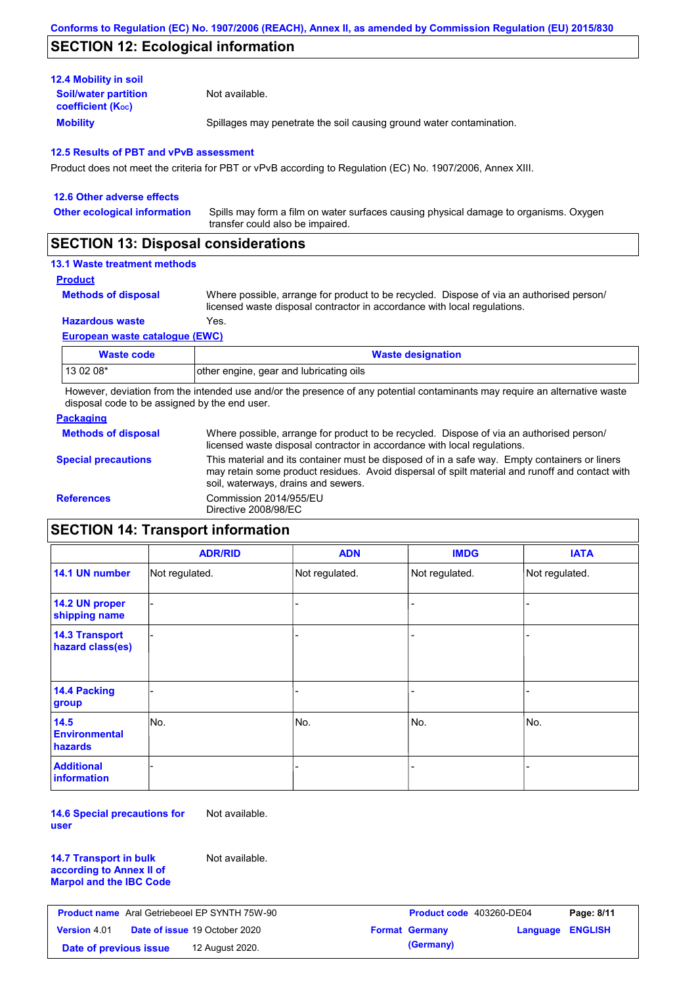## **SECTION 12: Ecological information**

| <b>12.4 Mobility in soil</b>                            |                                                                      |
|---------------------------------------------------------|----------------------------------------------------------------------|
| <b>Soil/water partition</b><br><b>coefficient (Koc)</b> | Not available.                                                       |
| <b>Mobility</b>                                         | Spillages may penetrate the soil causing ground water contamination. |

### **12.5 Results of PBT and vPvB assessment**

Product does not meet the criteria for PBT or vPvB according to Regulation (EC) No. 1907/2006, Annex XIII.

| 12.6 Other adverse effects          |                                                                                                                           |
|-------------------------------------|---------------------------------------------------------------------------------------------------------------------------|
| <b>Other ecological information</b> | Spills may form a film on water surfaces causing physical damage to organisms. Oxygen<br>transfer could also be impaired. |
|                                     |                                                                                                                           |

## **SECTION 13: Disposal considerations**

## **13.1 Waste treatment methods**

**Product**

**Methods of disposal**

Where possible, arrange for product to be recycled. Dispose of via an authorised person/ licensed waste disposal contractor in accordance with local regulations.

**Hazardous waste** Yes.

### **European waste catalogue (EWC)**

| Waste code | <b>Waste designation</b>                |
|------------|-----------------------------------------|
| 13 02 08*  | other engine, gear and lubricating oils |

However, deviation from the intended use and/or the presence of any potential contaminants may require an alternative waste disposal code to be assigned by the end user.

### **Packaging**

| <b>Methods of disposal</b> | Where possible, arrange for product to be recycled. Dispose of via an authorised person/<br>licensed waste disposal contractor in accordance with local regulations.                                                                    |
|----------------------------|-----------------------------------------------------------------------------------------------------------------------------------------------------------------------------------------------------------------------------------------|
| <b>Special precautions</b> | This material and its container must be disposed of in a safe way. Empty containers or liners<br>may retain some product residues. Avoid dispersal of spilt material and runoff and contact with<br>soil, waterways, drains and sewers. |
| <b>References</b>          | Commission 2014/955/EU<br>Directive 2008/98/EC                                                                                                                                                                                          |

# **SECTION 14: Transport information**

|                                                | <b>ADR/RID</b> | <b>ADN</b>     | <b>IMDG</b>    | <b>IATA</b>    |
|------------------------------------------------|----------------|----------------|----------------|----------------|
| 14.1 UN number                                 | Not regulated. | Not regulated. | Not regulated. | Not regulated. |
| 14.2 UN proper<br>shipping name                |                |                | -              |                |
| <b>14.3 Transport</b><br>hazard class(es)      |                |                |                |                |
| 14.4 Packing<br>group                          |                |                |                |                |
| 14.5<br><b>Environmental</b><br><b>hazards</b> | No.            | No.            | No.            | No.            |
| <b>Additional</b><br>information               |                |                |                |                |

**14.6 Special precautions for user** Not available.

**14.7 Transport in bulk according to Annex II of Marpol and the IBC Code** Not available.

| <b>Product name</b> Aral Getriebeoel EP SYNTH 75W-90 |  | Product code 403260-DE04             |  | Page: 8/11            |                         |  |
|------------------------------------------------------|--|--------------------------------------|--|-----------------------|-------------------------|--|
| <b>Version 4.01</b>                                  |  | <b>Date of issue 19 October 2020</b> |  | <b>Format Germany</b> | <b>Language ENGLISH</b> |  |
| Date of previous issue                               |  | 12 August 2020.                      |  | (Germany)             |                         |  |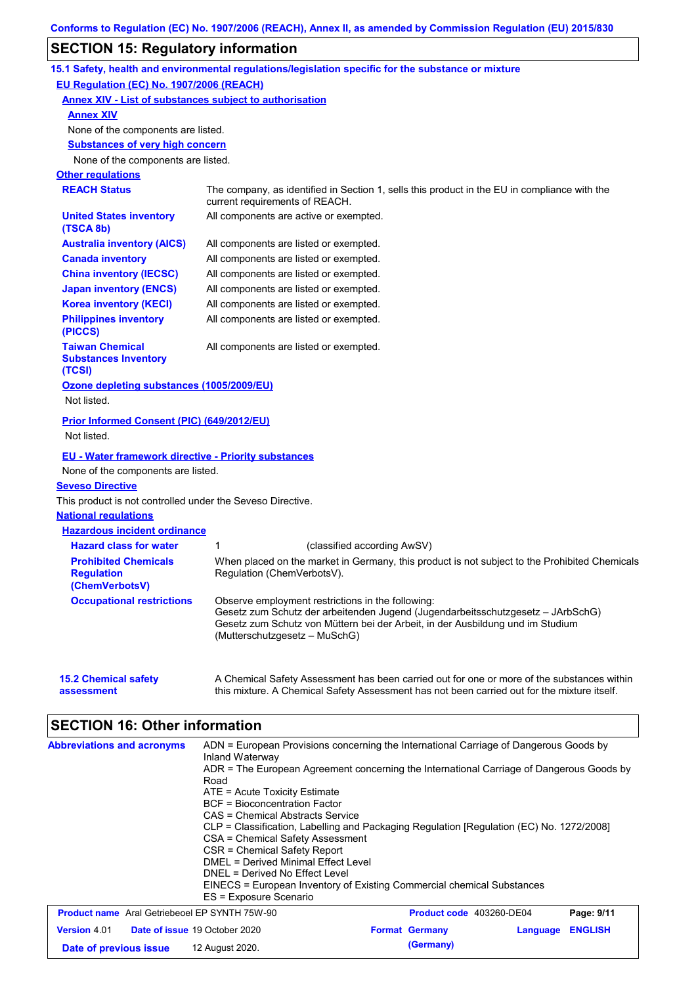# **SECTION 15: Regulatory information**

|                                                                    | 15.1 Safety, health and environmental regulations/legislation specific for the substance or mixture                                                                                                                                                     |
|--------------------------------------------------------------------|---------------------------------------------------------------------------------------------------------------------------------------------------------------------------------------------------------------------------------------------------------|
| EU Regulation (EC) No. 1907/2006 (REACH)                           |                                                                                                                                                                                                                                                         |
| <b>Annex XIV - List of substances subject to authorisation</b>     |                                                                                                                                                                                                                                                         |
| <b>Annex XIV</b>                                                   |                                                                                                                                                                                                                                                         |
| None of the components are listed.                                 |                                                                                                                                                                                                                                                         |
| <b>Substances of very high concern</b>                             |                                                                                                                                                                                                                                                         |
| None of the components are listed.                                 |                                                                                                                                                                                                                                                         |
| <b>Other regulations</b>                                           |                                                                                                                                                                                                                                                         |
| <b>REACH Status</b>                                                | The company, as identified in Section 1, sells this product in the EU in compliance with the<br>current requirements of REACH.                                                                                                                          |
| <b>United States inventory</b><br>(TSCA 8b)                        | All components are active or exempted.                                                                                                                                                                                                                  |
| <b>Australia inventory (AICS)</b>                                  | All components are listed or exempted.                                                                                                                                                                                                                  |
| <b>Canada inventory</b>                                            | All components are listed or exempted.                                                                                                                                                                                                                  |
| <b>China inventory (IECSC)</b>                                     | All components are listed or exempted.                                                                                                                                                                                                                  |
| <b>Japan inventory (ENCS)</b>                                      | All components are listed or exempted.                                                                                                                                                                                                                  |
| <b>Korea inventory (KECI)</b>                                      | All components are listed or exempted.                                                                                                                                                                                                                  |
| <b>Philippines inventory</b><br>(PICCS)                            | All components are listed or exempted.                                                                                                                                                                                                                  |
| <b>Taiwan Chemical</b><br><b>Substances Inventory</b><br>(TCSI)    | All components are listed or exempted.                                                                                                                                                                                                                  |
| Ozone depleting substances (1005/2009/EU)<br>Not listed.           |                                                                                                                                                                                                                                                         |
| Prior Informed Consent (PIC) (649/2012/EU)<br>Not listed.          |                                                                                                                                                                                                                                                         |
| <b>EU - Water framework directive - Priority substances</b>        |                                                                                                                                                                                                                                                         |
| None of the components are listed.                                 |                                                                                                                                                                                                                                                         |
| <b>Seveso Directive</b>                                            |                                                                                                                                                                                                                                                         |
| This product is not controlled under the Seveso Directive.         |                                                                                                                                                                                                                                                         |
| <b>National requlations</b>                                        |                                                                                                                                                                                                                                                         |
| <b>Hazardous incident ordinance</b>                                |                                                                                                                                                                                                                                                         |
| <b>Hazard class for water</b>                                      | (classified according AwSV)<br>1                                                                                                                                                                                                                        |
| <b>Prohibited Chemicals</b><br><b>Regulation</b><br>(ChemVerbotsV) | When placed on the market in Germany, this product is not subject to the Prohibited Chemicals<br>Regulation (ChemVerbotsV).                                                                                                                             |
| <b>Occupational restrictions</b>                                   | Observe employment restrictions in the following:<br>Gesetz zum Schutz der arbeitenden Jugend (Jugendarbeitsschutzgesetz - JArbSchG)<br>Gesetz zum Schutz von Müttern bei der Arbeit, in der Ausbildung und im Studium<br>(Mutterschutzgesetz - MuSchG) |
| <b>15.2 Chemical safety</b><br>assessment                          | A Chemical Safety Assessment has been carried out for one or more of the substances within<br>this mixture. A Chemical Safety Assessment has not been carried out for the mixture itself.                                                               |

## **SECTION 16: Other information**

| <b>Abbreviations and acronyms</b>                    | ADN = European Provisions concerning the International Carriage of Dangerous Goods by<br>Inland Waterway                                                                                                                                                                                                                                                                                                                                                                                                                           |  |                                 |          |                |
|------------------------------------------------------|------------------------------------------------------------------------------------------------------------------------------------------------------------------------------------------------------------------------------------------------------------------------------------------------------------------------------------------------------------------------------------------------------------------------------------------------------------------------------------------------------------------------------------|--|---------------------------------|----------|----------------|
|                                                      | ADR = The European Agreement concerning the International Carriage of Dangerous Goods by<br>Road<br>$ATE = Acute Toxicity Estimate$<br><b>BCF</b> = Bioconcentration Factor<br>CAS = Chemical Abstracts Service<br>CLP = Classification, Labelling and Packaging Regulation [Regulation (EC) No. 1272/2008]<br>CSA = Chemical Safety Assessment<br>CSR = Chemical Safety Report<br>DMEL = Derived Minimal Effect Level<br>DNEL = Derived No Effect Level<br>EINECS = European Inventory of Existing Commercial chemical Substances |  |                                 |          |                |
|                                                      | ES = Exposure Scenario                                                                                                                                                                                                                                                                                                                                                                                                                                                                                                             |  |                                 |          |                |
| <b>Product name</b> Aral Getriebeoel EP SYNTH 75W-90 |                                                                                                                                                                                                                                                                                                                                                                                                                                                                                                                                    |  | <b>Product code</b> 403260-DE04 |          | Page: 9/11     |
| <b>Version 4.01</b>                                  | <b>Date of issue 19 October 2020</b>                                                                                                                                                                                                                                                                                                                                                                                                                                                                                               |  | <b>Format Germany</b>           | Language | <b>ENGLISH</b> |
| Date of previous issue                               | 12 August 2020.                                                                                                                                                                                                                                                                                                                                                                                                                                                                                                                    |  | (Germany)                       |          |                |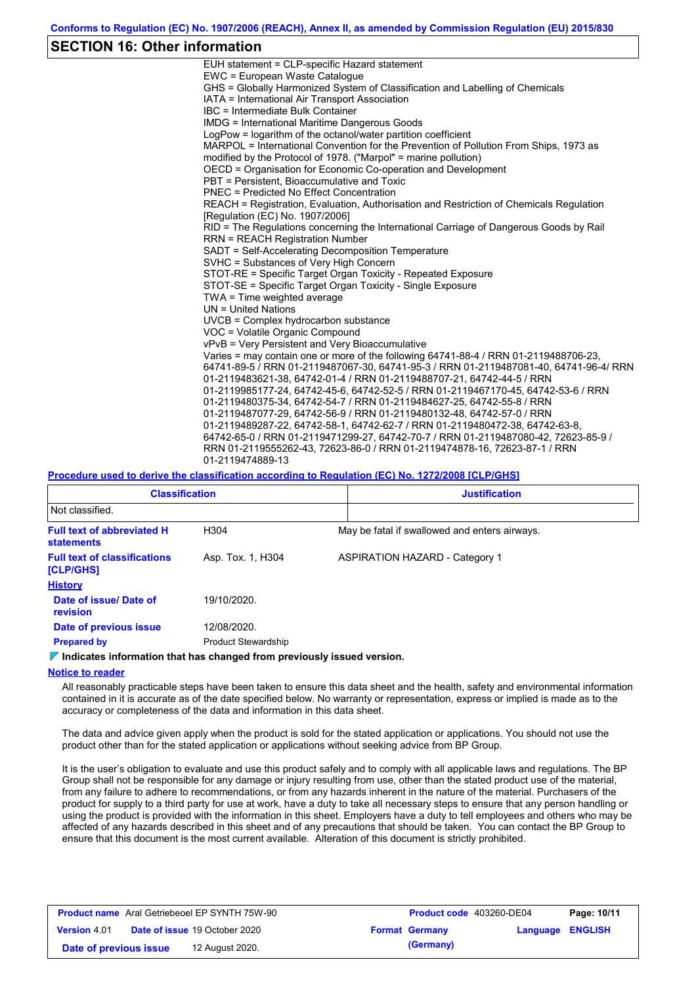### **SECTION 16: Other information**

| EUH statement = CLP-specific Hazard statement                                           |
|-----------------------------------------------------------------------------------------|
| EWC = European Waste Catalogue                                                          |
| GHS = Globally Harmonized System of Classification and Labelling of Chemicals           |
| IATA = International Air Transport Association                                          |
| IBC = Intermediate Bulk Container                                                       |
| <b>IMDG = International Maritime Dangerous Goods</b>                                    |
| LogPow = logarithm of the octanol/water partition coefficient                           |
| MARPOL = International Convention for the Prevention of Pollution From Ships, 1973 as   |
| modified by the Protocol of 1978. ("Marpol" = marine pollution)                         |
| OECD = Organisation for Economic Co-operation and Development                           |
| PBT = Persistent, Bioaccumulative and Toxic                                             |
| <b>PNEC = Predicted No Effect Concentration</b>                                         |
| REACH = Registration, Evaluation, Authorisation and Restriction of Chemicals Regulation |
| [Regulation (EC) No. 1907/2006]                                                         |
| RID = The Regulations concerning the International Carriage of Dangerous Goods by Rail  |
| <b>RRN = REACH Registration Number</b>                                                  |
| SADT = Self-Accelerating Decomposition Temperature                                      |
| SVHC = Substances of Very High Concern                                                  |
| STOT-RE = Specific Target Organ Toxicity - Repeated Exposure                            |
| STOT-SE = Specific Target Organ Toxicity - Single Exposure                              |
| TWA = Time weighted average                                                             |
| $UN = United Nations$                                                                   |
| UVCB = Complex hydrocarbon substance                                                    |
| VOC = Volatile Organic Compound                                                         |
| vPvB = Very Persistent and Very Bioaccumulative                                         |
| Varies = may contain one or more of the following 64741-88-4 / RRN 01-2119488706-23,    |
| 64741-89-5 / RRN 01-2119487067-30, 64741-95-3 / RRN 01-2119487081-40, 64741-96-4/ RRN   |
| 01-2119483621-38, 64742-01-4 / RRN 01-2119488707-21, 64742-44-5 / RRN                   |
| 01-2119985177-24, 64742-45-6, 64742-52-5 / RRN 01-2119467170-45, 64742-53-6 / RRN       |
| 01-2119480375-34, 64742-54-7 / RRN 01-2119484627-25, 64742-55-8 / RRN                   |
| 01-2119487077-29, 64742-56-9 / RRN 01-2119480132-48, 64742-57-0 / RRN                   |
| 01-2119489287-22, 64742-58-1, 64742-62-7 / RRN 01-2119480472-38, 64742-63-8,            |
| 64742-65-0 / RRN 01-2119471299-27, 64742-70-7 / RRN 01-2119487080-42, 72623-85-9 /      |
| RRN 01-2119555262-43, 72623-86-0 / RRN 01-2119474878-16, 72623-87-1 / RRN               |
| 01-2119474889-13                                                                        |
|                                                                                         |

### **Procedure used to derive the classification according to Regulation (EC) No. 1272/2008 [CLP/GHS]**

| <b>Classification</b>                                  |                            | <b>Justification</b>                          |  |  |  |  |
|--------------------------------------------------------|----------------------------|-----------------------------------------------|--|--|--|--|
| Not classified.                                        |                            |                                               |  |  |  |  |
| <b>Full text of abbreviated H</b><br><b>statements</b> | H304                       | May be fatal if swallowed and enters airways. |  |  |  |  |
| <b>Full text of classifications</b><br>[CLP/GHS]       | Asp. Tox. 1, H304          | <b>ASPIRATION HAZARD - Category 1</b>         |  |  |  |  |
| <b>History</b>                                         |                            |                                               |  |  |  |  |
| Date of issue/Date of<br>revision                      | 19/10/2020.                |                                               |  |  |  |  |
| Date of previous issue                                 | 12/08/2020.                |                                               |  |  |  |  |
| <b>Prepared by</b>                                     | <b>Product Stewardship</b> |                                               |  |  |  |  |

### **Indicates information that has changed from previously issued version.**

#### **Notice to reader**

All reasonably practicable steps have been taken to ensure this data sheet and the health, safety and environmental information contained in it is accurate as of the date specified below. No warranty or representation, express or implied is made as to the accuracy or completeness of the data and information in this data sheet.

The data and advice given apply when the product is sold for the stated application or applications. You should not use the product other than for the stated application or applications without seeking advice from BP Group.

It is the user's obligation to evaluate and use this product safely and to comply with all applicable laws and regulations. The BP Group shall not be responsible for any damage or injury resulting from use, other than the stated product use of the material, from any failure to adhere to recommendations, or from any hazards inherent in the nature of the material. Purchasers of the product for supply to a third party for use at work, have a duty to take all necessary steps to ensure that any person handling or using the product is provided with the information in this sheet. Employers have a duty to tell employees and others who may be affected of any hazards described in this sheet and of any precautions that should be taken. You can contact the BP Group to ensure that this document is the most current available. Alteration of this document is strictly prohibited.

| <b>Product name</b> Aral Getriebeoel EP SYNTH 75W-90 |  |                                      | Product code 403260-DE04 |                         | Page: 10/11 |
|------------------------------------------------------|--|--------------------------------------|--------------------------|-------------------------|-------------|
| <b>Version 4.01</b>                                  |  | <b>Date of issue 19 October 2020</b> | <b>Format Germany</b>    | <b>Language ENGLISH</b> |             |
| Date of previous issue                               |  | 12 August 2020.                      | (Germany)                |                         |             |